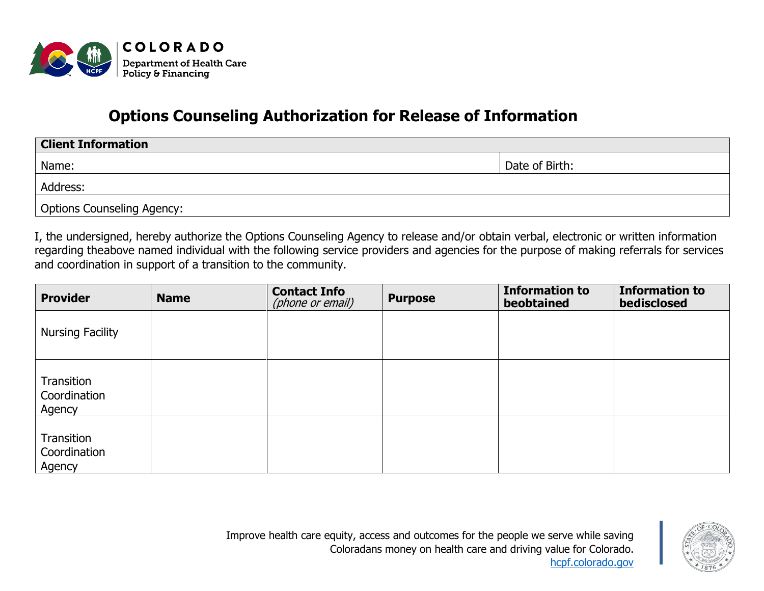

## **Options Counseling Authorization for Release of Information**

| <b>Client Information</b>  |                |  |  |  |
|----------------------------|----------------|--|--|--|
| Name:                      | Date of Birth: |  |  |  |
| Address:                   |                |  |  |  |
| Options Counseling Agency: |                |  |  |  |

I, the undersigned, hereby authorize the Options Counseling Agency to release and/or obtain verbal, electronic or written information regarding theabove named individual with the following service providers and agencies for the purpose of making referrals for services and coordination in support of a transition to the community.

| <b>Provider</b>                      | <b>Name</b> | <b>Contact Info</b><br>(phone or email) | <b>Purpose</b> | <b>Information to</b><br>beobtained | <b>Information to</b><br>bedisclosed |
|--------------------------------------|-------------|-----------------------------------------|----------------|-------------------------------------|--------------------------------------|
| <b>Nursing Facility</b>              |             |                                         |                |                                     |                                      |
| Transition<br>Coordination<br>Agency |             |                                         |                |                                     |                                      |
| Transition<br>Coordination<br>Agency |             |                                         |                |                                     |                                      |

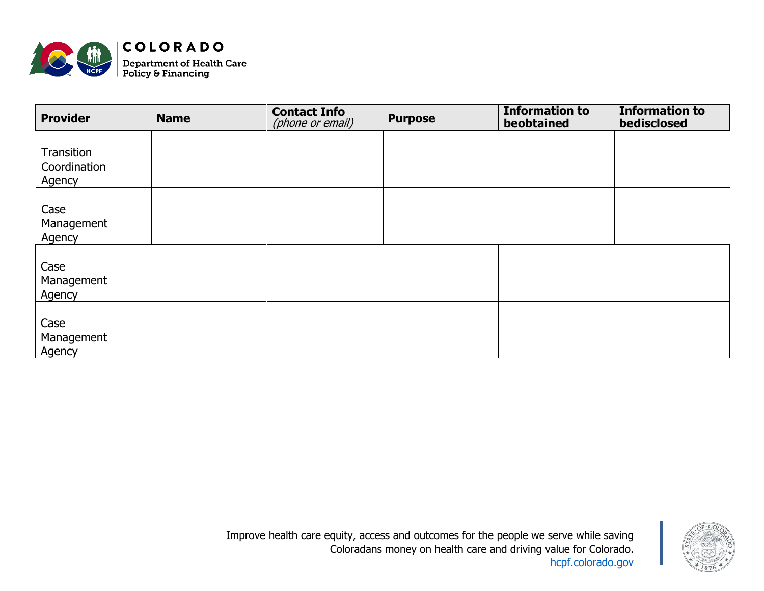

| <b>Provider</b>                      | <b>Name</b> | <b>Contact Info</b><br>(phone or email) | <b>Purpose</b> | <b>Information to</b><br>beobtained | <b>Information to</b><br>bedisclosed |
|--------------------------------------|-------------|-----------------------------------------|----------------|-------------------------------------|--------------------------------------|
| Transition<br>Coordination<br>Agency |             |                                         |                |                                     |                                      |
| Case<br>Management<br>Agency         |             |                                         |                |                                     |                                      |
| Case<br>Management<br>Agency         |             |                                         |                |                                     |                                      |
| Case<br>Management<br>Agency         |             |                                         |                |                                     |                                      |